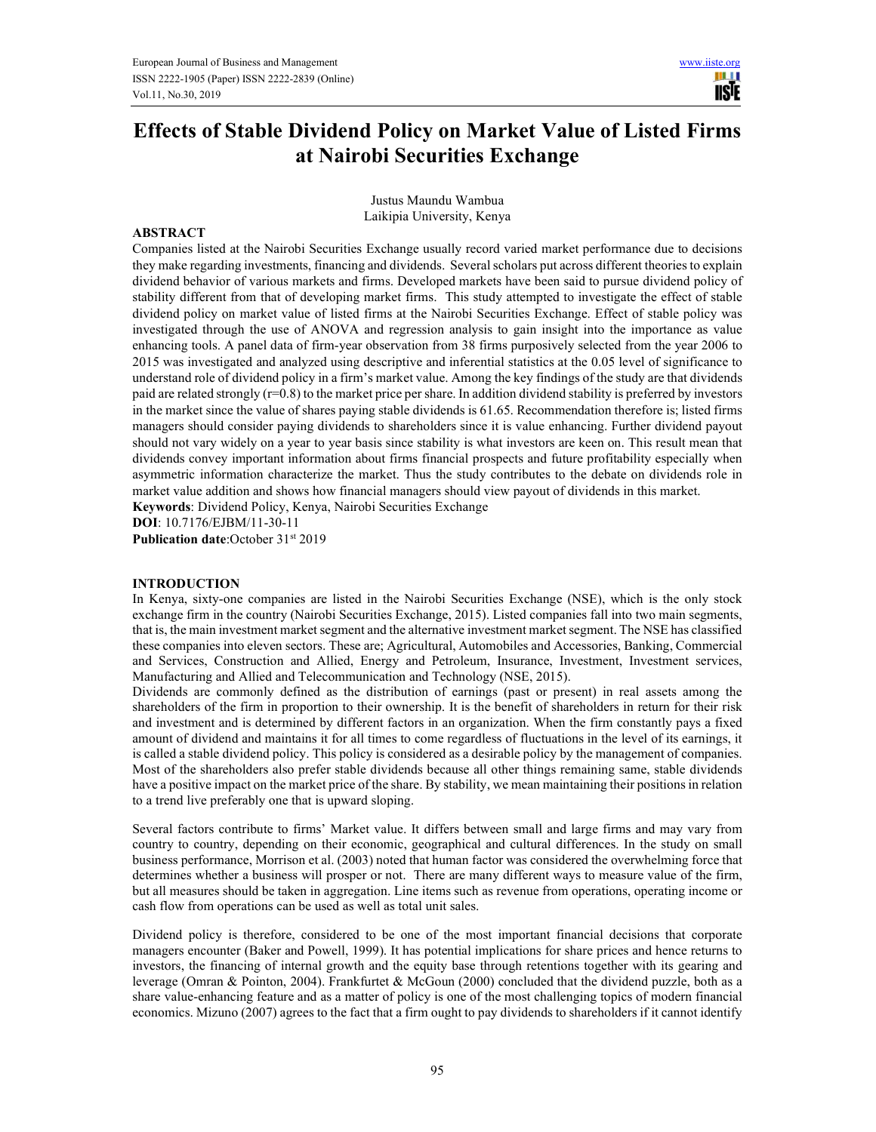H 1 **IISIE** 

# **Effects of Stable Dividend Policy on Market Value of Listed Firms at Nairobi Securities Exchange**

Justus Maundu Wambua Laikipia University, Kenya

#### **ABSTRACT**

Companies listed at the Nairobi Securities Exchange usually record varied market performance due to decisions they make regarding investments, financing and dividends. Several scholars put across different theories to explain dividend behavior of various markets and firms. Developed markets have been said to pursue dividend policy of stability different from that of developing market firms. This study attempted to investigate the effect of stable dividend policy on market value of listed firms at the Nairobi Securities Exchange. Effect of stable policy was investigated through the use of ANOVA and regression analysis to gain insight into the importance as value enhancing tools. A panel data of firm-year observation from 38 firms purposively selected from the year 2006 to 2015 was investigated and analyzed using descriptive and inferential statistics at the 0.05 level of significance to understand role of dividend policy in a firm's market value. Among the key findings of the study are that dividends paid are related strongly (r=0.8) to the market price per share. In addition dividend stability is preferred by investors in the market since the value of shares paying stable dividends is 61.65. Recommendation therefore is; listed firms managers should consider paying dividends to shareholders since it is value enhancing. Further dividend payout should not vary widely on a year to year basis since stability is what investors are keen on. This result mean that dividends convey important information about firms financial prospects and future profitability especially when asymmetric information characterize the market. Thus the study contributes to the debate on dividends role in market value addition and shows how financial managers should view payout of dividends in this market.

**Keywords**: Dividend Policy, Kenya, Nairobi Securities Exchange

**DOI**: 10.7176/EJBM/11-30-11

Publication date:October 31<sup>st</sup> 2019

#### **INTRODUCTION**

In Kenya, sixty-one companies are listed in the Nairobi Securities Exchange (NSE), which is the only stock exchange firm in the country (Nairobi Securities Exchange, 2015). Listed companies fall into two main segments, that is, the main investment market segment and the alternative investment market segment. The NSE has classified these companies into eleven sectors. These are; Agricultural, Automobiles and Accessories, Banking, Commercial and Services, Construction and Allied, Energy and Petroleum, Insurance, Investment, Investment services, Manufacturing and Allied and Telecommunication and Technology (NSE, 2015).

Dividends are commonly defined as the distribution of earnings (past or present) in real assets among the shareholders of the firm in proportion to their ownership. It is the benefit of shareholders in return for their risk and investment and is determined by different factors in an organization. When the firm constantly pays a fixed amount of dividend and maintains it for all times to come regardless of fluctuations in the level of its earnings, it is called a stable dividend policy. This policy is considered as a desirable policy by the management of companies. Most of the shareholders also prefer stable dividends because all other things remaining same, stable dividends have a positive impact on the market price of the share. By stability, we mean maintaining their positions in relation to a trend live preferably one that is upward sloping.

Several factors contribute to firms' Market value. It differs between small and large firms and may vary from country to country, depending on their economic, geographical and cultural differences. In the study on small business performance, Morrison et al. (2003) noted that human factor was considered the overwhelming force that determines whether a business will prosper or not. There are many different ways to measure value of the firm, but all measures should be taken in aggregation. Line items such as revenue from operations, operating income or cash flow from operations can be used as well as total unit sales.

Dividend policy is therefore, considered to be one of the most important financial decisions that corporate managers encounter (Baker and Powell, 1999). It has potential implications for share prices and hence returns to investors, the financing of internal growth and the equity base through retentions together with its gearing and leverage (Omran & Pointon, 2004). Frankfurtet & McGoun (2000) concluded that the dividend puzzle, both as a share value-enhancing feature and as a matter of policy is one of the most challenging topics of modern financial economics. Mizuno (2007) agrees to the fact that a firm ought to pay dividends to shareholders if it cannot identify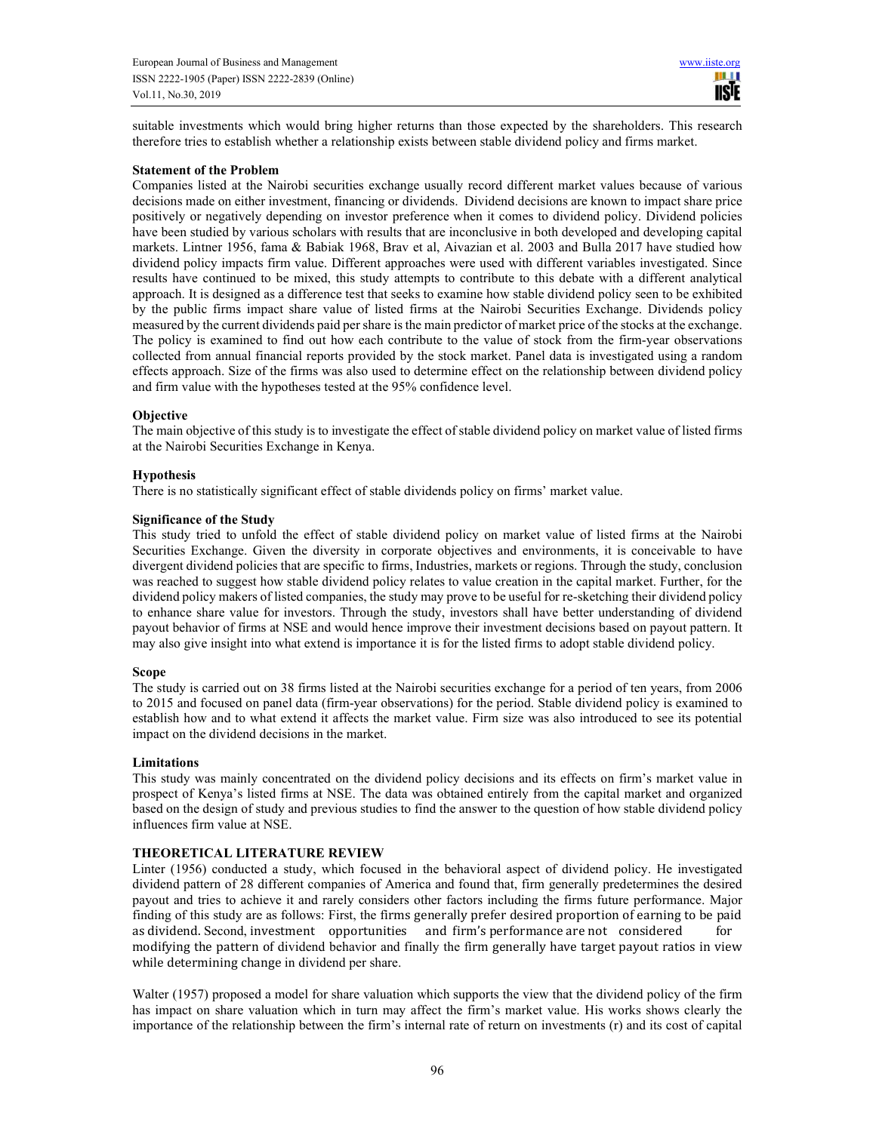suitable investments which would bring higher returns than those expected by the shareholders. This research therefore tries to establish whether a relationship exists between stable dividend policy and firms market.

#### **Statement of the Problem**

Companies listed at the Nairobi securities exchange usually record different market values because of various decisions made on either investment, financing or dividends. Dividend decisions are known to impact share price positively or negatively depending on investor preference when it comes to dividend policy. Dividend policies have been studied by various scholars with results that are inconclusive in both developed and developing capital markets. Lintner 1956, fama & Babiak 1968, Brav et al, Aivazian et al. 2003 and Bulla 2017 have studied how dividend policy impacts firm value. Different approaches were used with different variables investigated. Since results have continued to be mixed, this study attempts to contribute to this debate with a different analytical approach. It is designed as a difference test that seeks to examine how stable dividend policy seen to be exhibited by the public firms impact share value of listed firms at the Nairobi Securities Exchange. Dividends policy measured by the current dividends paid per share is the main predictor of market price of the stocks at the exchange. The policy is examined to find out how each contribute to the value of stock from the firm-year observations collected from annual financial reports provided by the stock market. Panel data is investigated using a random effects approach. Size of the firms was also used to determine effect on the relationship between dividend policy and firm value with the hypotheses tested at the 95% confidence level.

#### **Objective**

The main objective of this study is to investigate the effect of stable dividend policy on market value of listed firms at the Nairobi Securities Exchange in Kenya.

#### **Hypothesis**

There is no statistically significant effect of stable dividends policy on firms' market value.

#### **Significance of the Study**

This study tried to unfold the effect of stable dividend policy on market value of listed firms at the Nairobi Securities Exchange. Given the diversity in corporate objectives and environments, it is conceivable to have divergent dividend policies that are specific to firms, Industries, markets or regions. Through the study, conclusion was reached to suggest how stable dividend policy relates to value creation in the capital market. Further, for the dividend policy makers of listed companies, the study may prove to be useful for re-sketching their dividend policy to enhance share value for investors. Through the study, investors shall have better understanding of dividend payout behavior of firms at NSE and would hence improve their investment decisions based on payout pattern. It may also give insight into what extend is importance it is for the listed firms to adopt stable dividend policy.

# **Scope**

The study is carried out on 38 firms listed at the Nairobi securities exchange for a period of ten years, from 2006 to 2015 and focused on panel data (firm-year observations) for the period. Stable dividend policy is examined to establish how and to what extend it affects the market value. Firm size was also introduced to see its potential impact on the dividend decisions in the market.

# **Limitations**

This study was mainly concentrated on the dividend policy decisions and its effects on firm's market value in prospect of Kenya's listed firms at NSE. The data was obtained entirely from the capital market and organized based on the design of study and previous studies to find the answer to the question of how stable dividend policy influences firm value at NSE.

# **THEORETICAL LITERATURE REVIEW**

Linter (1956) conducted a study, which focused in the behavioral aspect of dividend policy. He investigated dividend pattern of 28 different companies of America and found that, firm generally predetermines the desired payout and tries to achieve it and rarely considers other factors including the firms future performance. Major finding of this study are as follows: First, the firms generally prefer desired proportion of earning to be paid as dividend. Second, investment opportunities and firm's performance are not considered for modifying the pattern of dividend behavior and finally the firm generally have target payout ratios in view while determining change in dividend per share.

Walter (1957) proposed a model for share valuation which supports the view that the dividend policy of the firm has impact on share valuation which in turn may affect the firm's market value. His works shows clearly the importance of the relationship between the firm's internal rate of return on investments (r) and its cost of capital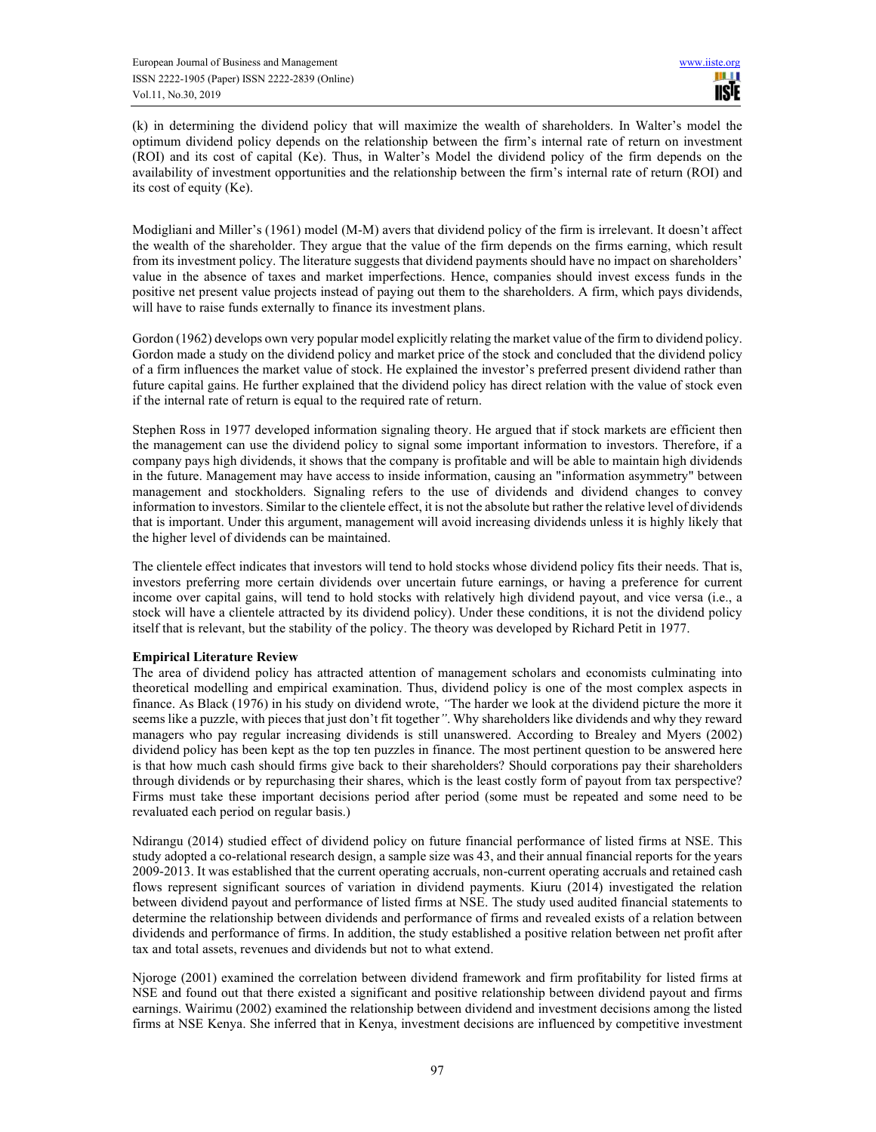(k) in determining the dividend policy that will maximize the wealth of shareholders. In Walter's model the optimum dividend policy depends on the relationship between the firm's internal rate of return on investment (ROI) and its cost of capital (Ke). Thus, in Walter's Model the dividend policy of the firm depends on the availability of investment opportunities and the relationship between the firm's internal rate of return (ROI) and its cost of equity (Ke).

Modigliani and Miller's (1961) model (M-M) avers that dividend policy of the firm is irrelevant. It doesn't affect the wealth of the shareholder. They argue that the value of the firm depends on the firms earning, which result from its investment policy. The literature suggests that dividend payments should have no impact on shareholders' value in the absence of taxes and market imperfections. Hence, companies should invest excess funds in the positive net present value projects instead of paying out them to the shareholders. A firm, which pays dividends, will have to raise funds externally to finance its investment plans.

Gordon (1962) develops own very popular model explicitly relating the market value of the firm to dividend policy. Gordon made a study on the dividend policy and market price of the stock and concluded that the dividend policy of a firm influences the market value of stock. He explained the investor's preferred present dividend rather than future capital gains. He further explained that the dividend policy has direct relation with the value of stock even if the internal rate of return is equal to the required rate of return.

Stephen Ross in 1977 developed information signaling theory. He argued that if stock markets are efficient then the management can use the dividend policy to signal some important information to investors. Therefore, if a company pays high dividends, it shows that the company is profitable and will be able to maintain high dividends in the future. Management may have access to inside information, causing an "information asymmetry" between management and stockholders. Signaling refers to the use of dividends and dividend changes to convey information to investors. Similar to the clientele effect, it is not the absolute but rather the relative level of dividends that is important. Under this argument, management will avoid increasing dividends unless it is highly likely that the higher level of dividends can be maintained.

The clientele effect indicates that investors will tend to hold stocks whose dividend policy fits their needs. That is, investors preferring more certain dividends over uncertain future earnings, or having a preference for current income over capital gains, will tend to hold stocks with relatively high dividend payout, and vice versa (i.e., a stock will have a clientele attracted by its dividend policy). Under these conditions, it is not the dividend policy itself that is relevant, but the stability of the policy. The theory was developed by Richard Petit in 1977.

# **Empirical Literature Review**

The area of dividend policy has attracted attention of management scholars and economists culminating into theoretical modelling and empirical examination. Thus, dividend policy is one of the most complex aspects in finance. As Black (1976) in his study on dividend wrote, *"*The harder we look at the dividend picture the more it seems like a puzzle, with pieces that just don't fit together*"*. Why shareholders like dividends and why they reward managers who pay regular increasing dividends is still unanswered. According to Brealey and Myers (2002) dividend policy has been kept as the top ten puzzles in finance. The most pertinent question to be answered here is that how much cash should firms give back to their shareholders? Should corporations pay their shareholders through dividends or by repurchasing their shares, which is the least costly form of payout from tax perspective? Firms must take these important decisions period after period (some must be repeated and some need to be revaluated each period on regular basis.)

Ndirangu (2014) studied effect of dividend policy on future financial performance of listed firms at NSE. This study adopted a co-relational research design, a sample size was 43, and their annual financial reports for the years 2009-2013. It was established that the current operating accruals, non-current operating accruals and retained cash flows represent significant sources of variation in dividend payments. Kiuru (2014) investigated the relation between dividend payout and performance of listed firms at NSE. The study used audited financial statements to determine the relationship between dividends and performance of firms and revealed exists of a relation between dividends and performance of firms. In addition, the study established a positive relation between net profit after tax and total assets, revenues and dividends but not to what extend.

Njoroge (2001) examined the correlation between dividend framework and firm profitability for listed firms at NSE and found out that there existed a significant and positive relationship between dividend payout and firms earnings. Wairimu (2002) examined the relationship between dividend and investment decisions among the listed firms at NSE Kenya. She inferred that in Kenya, investment decisions are influenced by competitive investment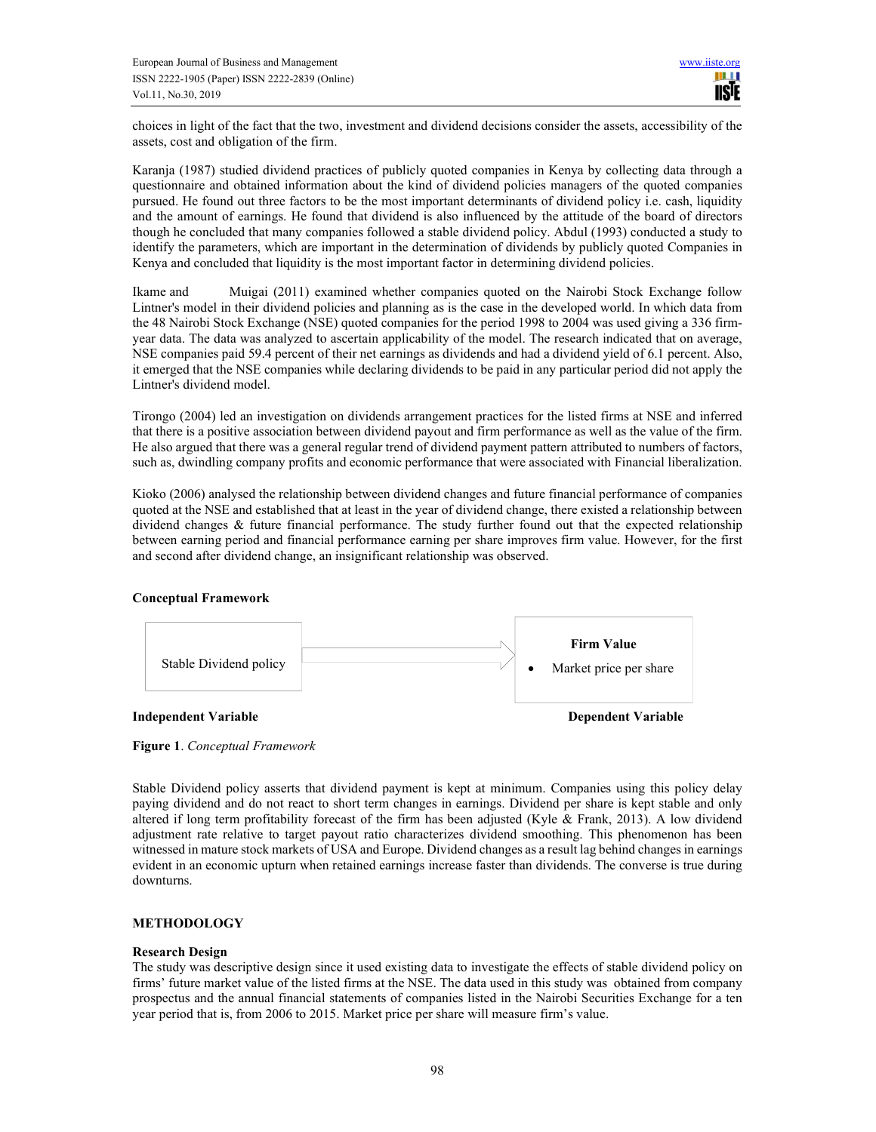choices in light of the fact that the two, investment and dividend decisions consider the assets, accessibility of the assets, cost and obligation of the firm.

Karanja (1987) studied dividend practices of publicly quoted companies in Kenya by collecting data through a questionnaire and obtained information about the kind of dividend policies managers of the quoted companies pursued. He found out three factors to be the most important determinants of dividend policy i.e. cash, liquidity and the amount of earnings. He found that dividend is also influenced by the attitude of the board of directors though he concluded that many companies followed a stable dividend policy. Abdul (1993) conducted a study to identify the parameters, which are important in the determination of dividends by publicly quoted Companies in Kenya and concluded that liquidity is the most important factor in determining dividend policies.

Ikame and Muigai (2011) examined whether companies quoted on the Nairobi Stock Exchange follow Lintner's model in their dividend policies and planning as is the case in the developed world. In which data from the 48 Nairobi Stock Exchange (NSE) quoted companies for the period 1998 to 2004 was used giving a 336 firmyear data. The data was analyzed to ascertain applicability of the model. The research indicated that on average, NSE companies paid 59.4 percent of their net earnings as dividends and had a dividend yield of 6.1 percent. Also, it emerged that the NSE companies while declaring dividends to be paid in any particular period did not apply the Lintner's dividend model.

Tirongo (2004) led an investigation on dividends arrangement practices for the listed firms at NSE and inferred that there is a positive association between dividend payout and firm performance as well as the value of the firm. He also argued that there was a general regular trend of dividend payment pattern attributed to numbers of factors, such as, dwindling company profits and economic performance that were associated with Financial liberalization.

Kioko (2006) analysed the relationship between dividend changes and future financial performance of companies quoted at the NSE and established that at least in the year of dividend change, there existed a relationship between dividend changes & future financial performance. The study further found out that the expected relationship between earning period and financial performance earning per share improves firm value. However, for the first and second after dividend change, an insignificant relationship was observed.

# **Conceptual Framework**



**Figure 1**. *Conceptual Framework*

Stable Dividend policy asserts that dividend payment is kept at minimum. Companies using this policy delay paying dividend and do not react to short term changes in earnings. Dividend per share is kept stable and only altered if long term profitability forecast of the firm has been adjusted (Kyle & Frank, 2013). A low dividend adjustment rate relative to target payout ratio characterizes dividend smoothing. This phenomenon has been witnessed in mature stock markets of USA and Europe. Dividend changes as a result lag behind changes in earnings evident in an economic upturn when retained earnings increase faster than dividends. The converse is true during downturns.

# **METHODOLOGY**

# **Research Design**

The study was descriptive design since it used existing data to investigate the effects of stable dividend policy on firms' future market value of the listed firms at the NSE. The data used in this study was obtained from company prospectus and the annual financial statements of companies listed in the Nairobi Securities Exchange for a ten year period that is, from 2006 to 2015. Market price per share will measure firm's value.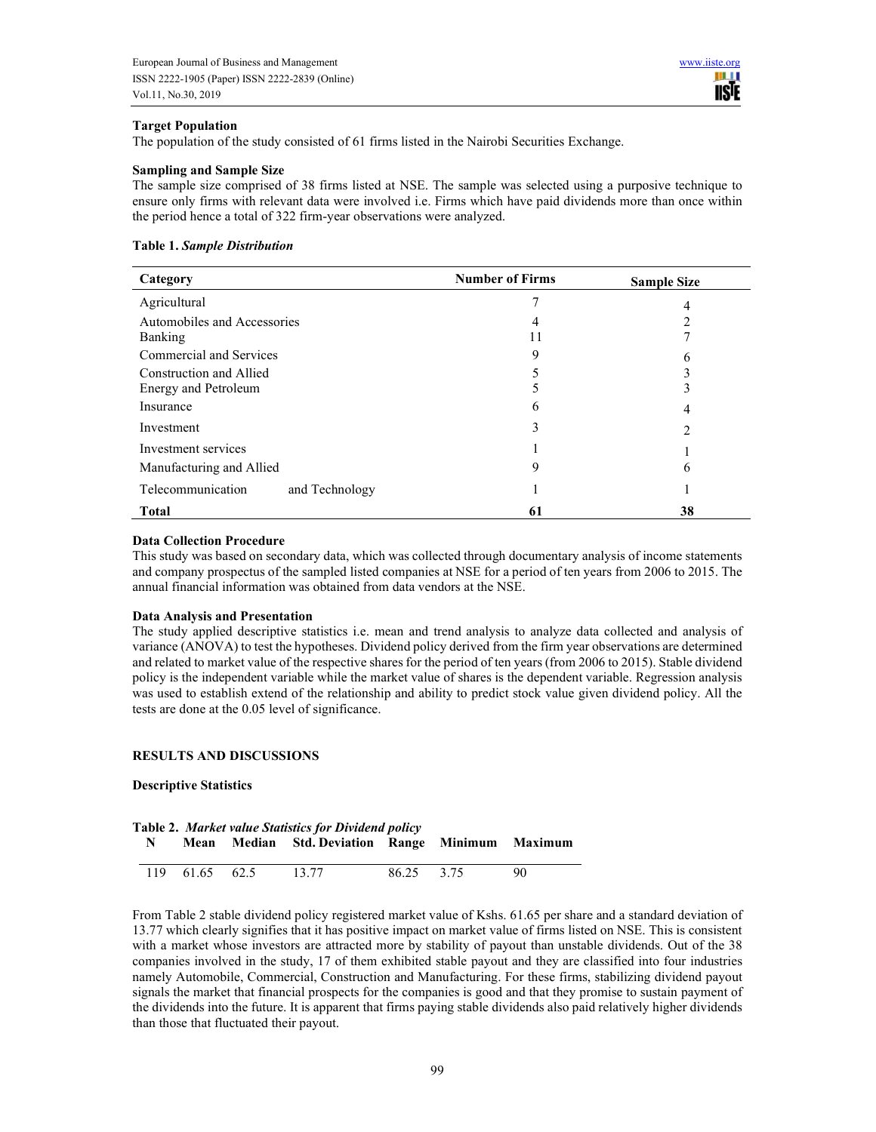#### **Target Population**

The population of the study consisted of 61 firms listed in the Nairobi Securities Exchange.

#### **Sampling and Sample Size**

The sample size comprised of 38 firms listed at NSE. The sample was selected using a purposive technique to ensure only firms with relevant data were involved i.e. Firms which have paid dividends more than once within the period hence a total of 322 firm-year observations were analyzed.

#### **Table 1.** *Sample Distribution*

| Category                            | <b>Number of Firms</b> | <b>Sample Size</b> |
|-------------------------------------|------------------------|--------------------|
| Agricultural                        | 7                      | 4                  |
| Automobiles and Accessories         | 4                      |                    |
| Banking                             | 11                     |                    |
| Commercial and Services             | 9                      | b                  |
| Construction and Allied             |                        |                    |
| Energy and Petroleum                |                        | ┑                  |
| Insurance                           | 6                      | 4                  |
| Investment                          | 3                      | 2                  |
| Investment services                 |                        |                    |
| Manufacturing and Allied            | 9                      | 6                  |
| Telecommunication<br>and Technology |                        |                    |
| <b>Total</b>                        | 61                     | 38                 |

#### **Data Collection Procedure**

This study was based on secondary data, which was collected through documentary analysis of income statements and company prospectus of the sampled listed companies at NSE for a period of ten years from 2006 to 2015. The annual financial information was obtained from data vendors at the NSE.

#### **Data Analysis and Presentation**

The study applied descriptive statistics i.e. mean and trend analysis to analyze data collected and analysis of variance (ANOVA) to test the hypotheses. Dividend policy derived from the firm year observations are determined and related to market value of the respective shares for the period of ten years (from 2006 to 2015). Stable dividend policy is the independent variable while the market value of shares is the dependent variable. Regression analysis was used to establish extend of the relationship and ability to predict stock value given dividend policy. All the tests are done at the 0.05 level of significance.

#### **RESULTS AND DISCUSSIONS**

# **Descriptive Statistics**

| Table 2. Market value Statistics for Dividend policy |    |                |                                                  |            |  |    |
|------------------------------------------------------|----|----------------|--------------------------------------------------|------------|--|----|
|                                                      | N. |                | Mean Median Std. Deviation Range Minimum Maximum |            |  |    |
|                                                      |    | 119 61.65 62.5 | 13.77                                            | 86.25 3.75 |  | 90 |

From Table 2 stable dividend policy registered market value of Kshs. 61.65 per share and a standard deviation of 13.77 which clearly signifies that it has positive impact on market value of firms listed on NSE. This is consistent with a market whose investors are attracted more by stability of payout than unstable dividends. Out of the 38 companies involved in the study, 17 of them exhibited stable payout and they are classified into four industries namely Automobile, Commercial, Construction and Manufacturing. For these firms, stabilizing dividend payout signals the market that financial prospects for the companies is good and that they promise to sustain payment of the dividends into the future. It is apparent that firms paying stable dividends also paid relatively higher dividends than those that fluctuated their payout.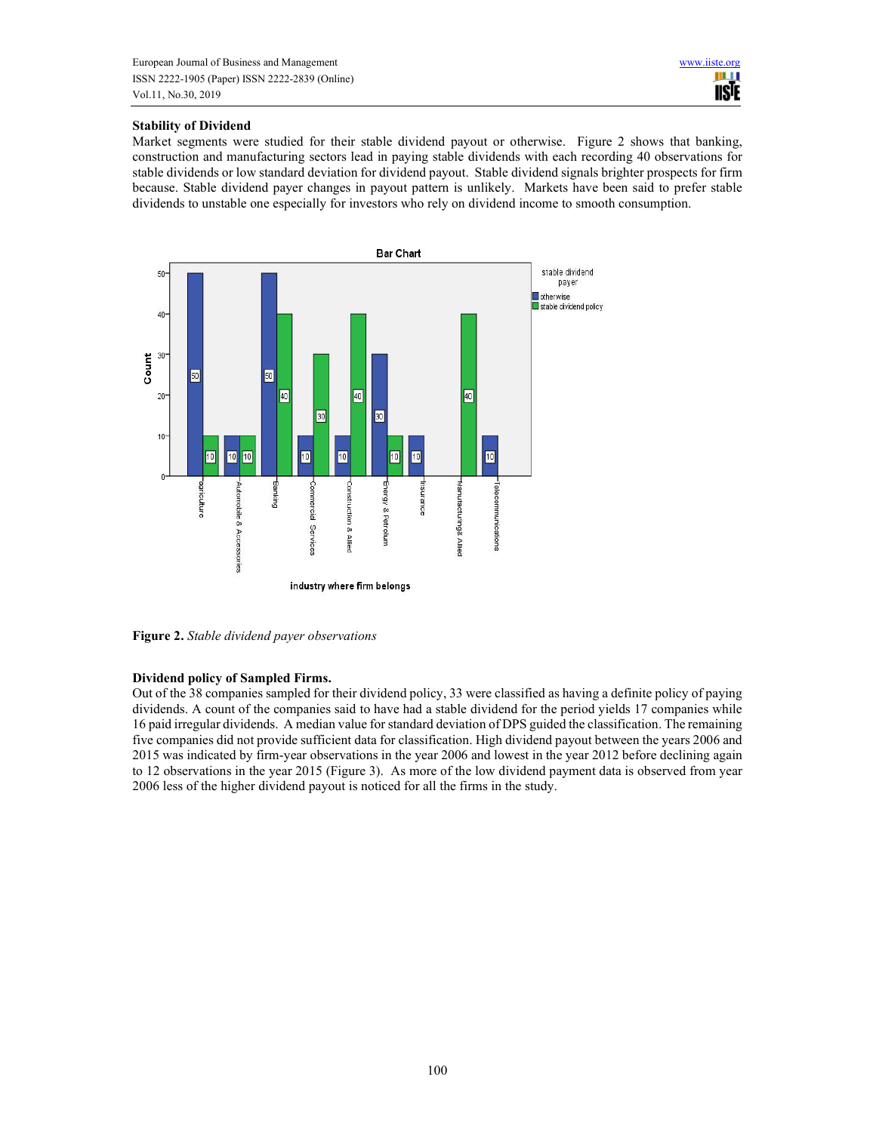# **Stability of Dividend**

Market segments were studied for their stable dividend payout or otherwise. Figure 2 shows that banking, construction and manufacturing sectors lead in paying stable dividends with each recording 40 observations for stable dividends or low standard deviation for dividend payout. Stable dividend signals brighter prospects for firm because. Stable dividend payer changes in payout pattern is unlikely. Markets have been said to prefer stable dividends to unstable one especially for investors who rely on dividend income to smooth consumption.



**Figure 2.** *Stable dividend payer observations* 

# **Dividend policy of Sampled Firms.**

Out of the 38 companies sampled for their dividend policy, 33 were classified as having a definite policy of paying dividends. A count of the companies said to have had a stable dividend for the period yields 17 companies while 16 paid irregular dividends. A median value for standard deviation of DPS guided the classification. The remaining five companies did not provide sufficient data for classification. High dividend payout between the years 2006 and 2015 was indicated by firm-year observations in the year 2006 and lowest in the year 2012 before declining again to 12 observations in the year 2015 (Figure 3). As more of the low dividend payment data is observed from year 2006 less of the higher dividend payout is noticed for all the firms in the study.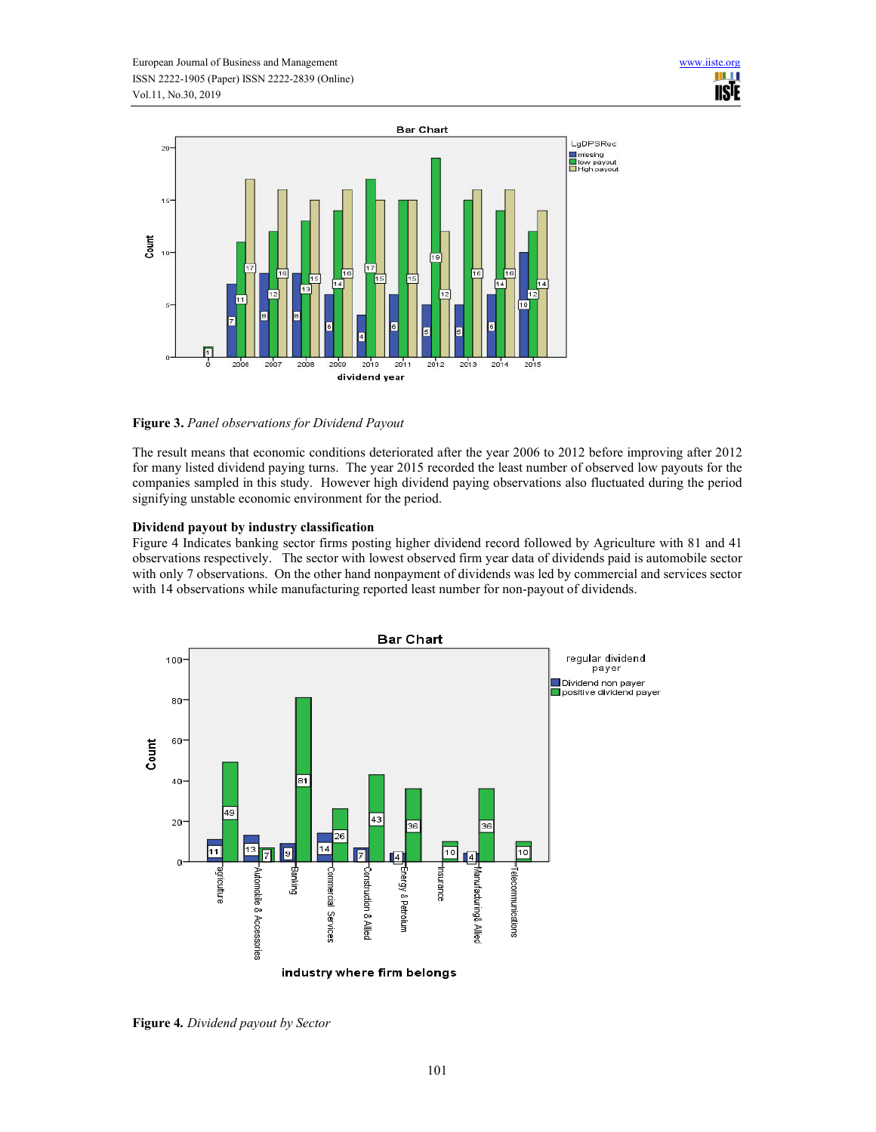

**Figure 3.** *Panel observations for Dividend Payout* 

The result means that economic conditions deteriorated after the year 2006 to 2012 before improving after 2012 for many listed dividend paying turns. The year 2015 recorded the least number of observed low payouts for the companies sampled in this study. However high dividend paying observations also fluctuated during the period signifying unstable economic environment for the period.

# **Dividend payout by industry classification**

Figure 4 Indicates banking sector firms posting higher dividend record followed by Agriculture with 81 and 41 observations respectively. The sector with lowest observed firm year data of dividends paid is automobile sector with only 7 observations. On the other hand nonpayment of dividends was led by commercial and services sector with 14 observations while manufacturing reported least number for non-payout of dividends.



**Figure 4***. Dividend payout by Sector*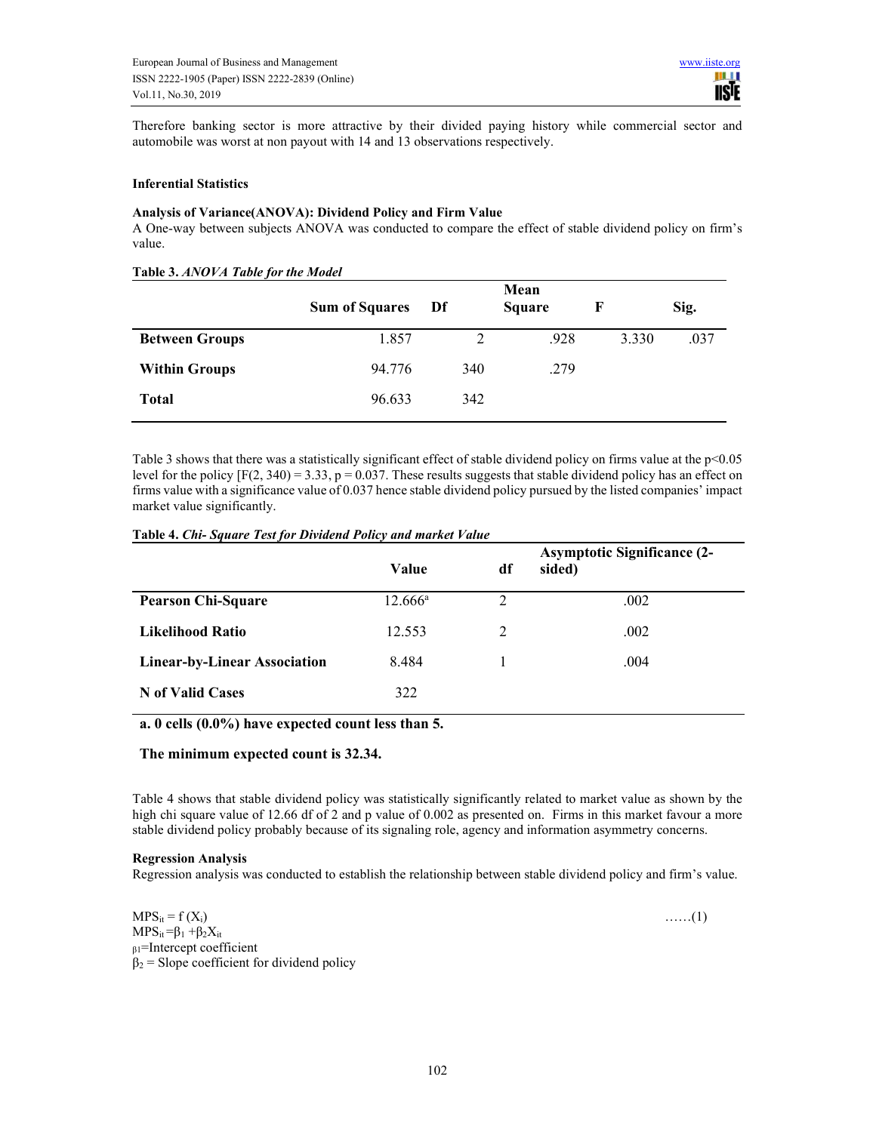Therefore banking sector is more attractive by their divided paying history while commercial sector and automobile was worst at non payout with 14 and 13 observations respectively.

#### **Inferential Statistics**

# **Analysis of Variance(ANOVA): Dividend Policy and Firm Value**

A One-way between subjects ANOVA was conducted to compare the effect of stable dividend policy on firm's value.

| <b>Table 3. AINOVA Tuble for the model</b> |                       |     | Mean   |       |      |
|--------------------------------------------|-----------------------|-----|--------|-------|------|
|                                            | <b>Sum of Squares</b> | Df  | Square | F     | Sig. |
| <b>Between Groups</b>                      | 1.857                 | 2   | .928   | 3.330 | .037 |
| <b>Within Groups</b>                       | 94.776                | 340 | .279   |       |      |
| <b>Total</b>                               | 96.633                | 342 |        |       |      |

# **Table 3.** *ANOVA Table for the Model*

Table 3 shows that there was a statistically significant effect of stable dividend policy on firms value at the  $p<0.05$ level for the policy  $[F(2, 340) = 3.33, p = 0.037$ . These results suggests that stable dividend policy has an effect on firms value with a significance value of 0.037 hence stable dividend policy pursued by the listed companies' impact market value significantly.

|                                     | Value            | df             | <b>Asymptotic Significance (2-</b><br>sided) |
|-------------------------------------|------------------|----------------|----------------------------------------------|
| <b>Pearson Chi-Square</b>           | $12.666^{\rm a}$ | $\mathfrak{D}$ | .002                                         |
| <b>Likelihood Ratio</b>             | 12.553           | 2              | .002                                         |
| <b>Linear-by-Linear Association</b> | 8.484            |                | .004                                         |
| N of Valid Cases                    | 322              |                |                                              |

#### **Table 4.** *Chi- Square Test for Dividend Policy and market Value*

**a. 0 cells (0.0%) have expected count less than 5.** 

# **The minimum expected count is 32.34.**

Table 4 shows that stable dividend policy was statistically significantly related to market value as shown by the high chi square value of 12.66 df of 2 and p value of 0.002 as presented on. Firms in this market favour a more stable dividend policy probably because of its signaling role, agency and information asymmetry concerns.

#### **Regression Analysis**

Regression analysis was conducted to establish the relationship between stable dividend policy and firm's value.

 $MPS_{it} = f(X_i)$  ……(1)  $MPS_{it} = \beta_1 + \beta_2 X_{it}$ β1=Intercept coefficient  $\beta_2$  = Slope coefficient for dividend policy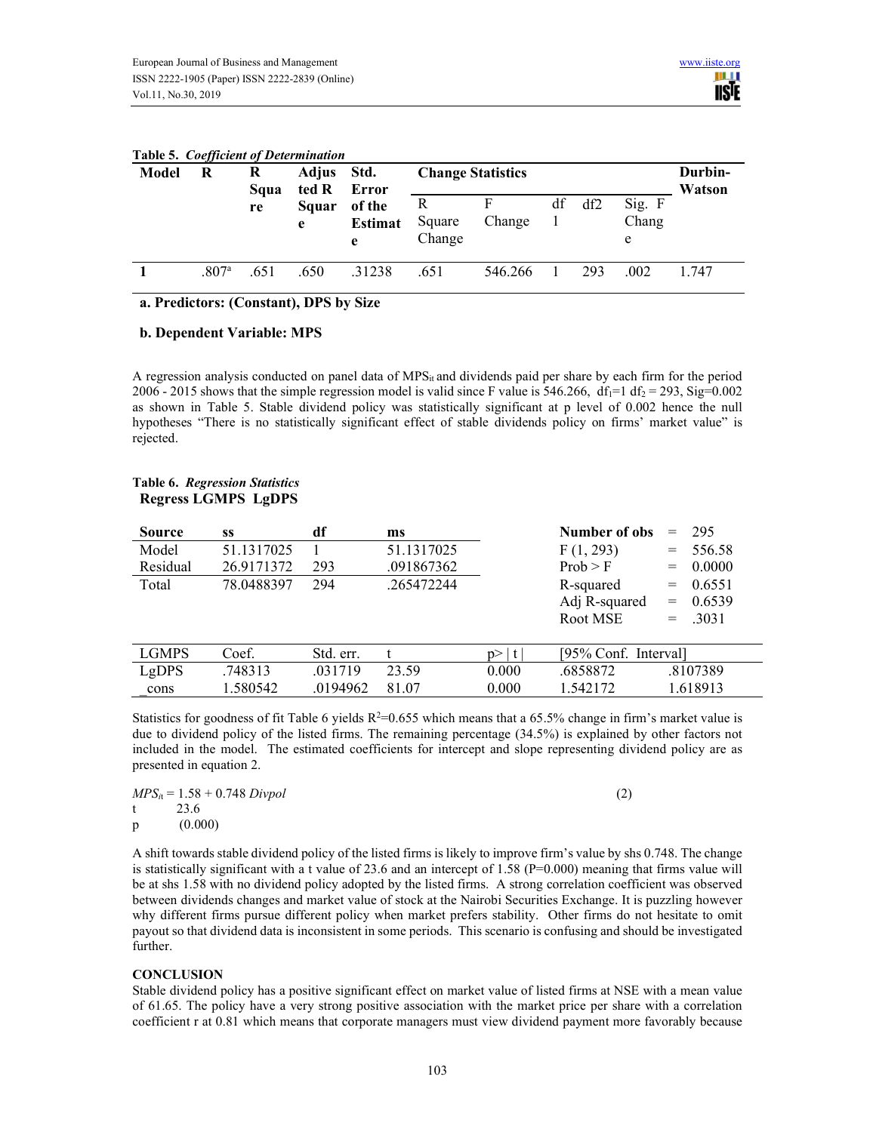#### **Table 5.** *Coefficient of Determination*

| Model | <br>R<br>Adjus Std.<br>R<br>ted R<br>Squa |      |            | Error                         | <b>Change Statistics</b> | Durbin-<br>Watson |    |     |                      |       |
|-------|-------------------------------------------|------|------------|-------------------------------|--------------------------|-------------------|----|-----|----------------------|-------|
|       |                                           | re   | Squar<br>e | of the<br><b>Estimat</b><br>e | R<br>Square<br>Change    | Change            | df | df2 | Sig. F<br>Chang<br>e |       |
|       | .807 <sup>a</sup>                         | .651 | .650       | .31238                        | .651                     | 546.266           |    | 293 | .002                 | 1.747 |

# **a. Predictors: (Constant), DPS by Size**

# **b. Dependent Variable: MPS**

A regression analysis conducted on panel data of MPSit and dividends paid per share by each firm for the period 2006 - 2015 shows that the simple regression model is valid since F value is 546.266, df<sub>1</sub>=1 df<sub>2</sub> = 293, Sig=0.002 as shown in Table 5. Stable dividend policy was statistically significant at p level of 0.002 hence the null hypotheses "There is no statistically significant effect of stable dividends policy on firms' market value" is rejected.

# **Table 6.** *Regression Statistics*  **Regress LGMPS LgDPS**

| <b>Source</b> | SS         | df        | ms         |         | Number of obs        | $=$ | 295       |
|---------------|------------|-----------|------------|---------|----------------------|-----|-----------|
| Model         | 51.1317025 |           | 51.1317025 |         | F(1, 293)            | $=$ | 556.58    |
| Residual      | 26.9171372 | 293       | .091867362 |         | Prob > F             | $=$ | 0.0000    |
| Total         | 78.0488397 | 294       | .265472244 |         | R-squared            | $=$ | 0.6551    |
|               |            |           |            |         | Adj R-squared        | $=$ | 0.6539    |
|               |            |           |            |         | Root MSE             |     | $= .3031$ |
|               |            |           |            |         |                      |     |           |
| <b>LGMPS</b>  | Coef.      | Std. err. |            | t<br>n> | [95% Conf. Interval] |     |           |
| LgDPS         | .748313    | .031719   | 23.59      | 0.000   | .6858872             |     | .8107389  |
| cons          | 1.580542   | .0194962  | 81.07      | 0.000   | 1.542172             |     | 1.618913  |

Statistics for goodness of fit Table 6 yields  $R^2=0.655$  which means that a 65.5% change in firm's market value is due to dividend policy of the listed firms. The remaining percentage (34.5%) is explained by other factors not included in the model. The estimated coefficients for intercept and slope representing dividend policy are as presented in equation 2.

|              | $MPS_{it} = 1.58 + 0.748 \, Divpol$ | (2) |
|--------------|-------------------------------------|-----|
| t —          | 23.6                                |     |
| $\mathbf{p}$ | (0.000)                             |     |

A shift towards stable dividend policy of the listed firms is likely to improve firm's value by shs 0.748. The change is statistically significant with a t value of 23.6 and an intercept of 1.58 ( $P=0.000$ ) meaning that firms value will be at shs 1.58 with no dividend policy adopted by the listed firms. A strong correlation coefficient was observed between dividends changes and market value of stock at the Nairobi Securities Exchange. It is puzzling however why different firms pursue different policy when market prefers stability. Other firms do not hesitate to omit payout so that dividend data is inconsistent in some periods. This scenario is confusing and should be investigated further.

# **CONCLUSION**

Stable dividend policy has a positive significant effect on market value of listed firms at NSE with a mean value of 61.65. The policy have a very strong positive association with the market price per share with a correlation coefficient r at 0.81 which means that corporate managers must view dividend payment more favorably because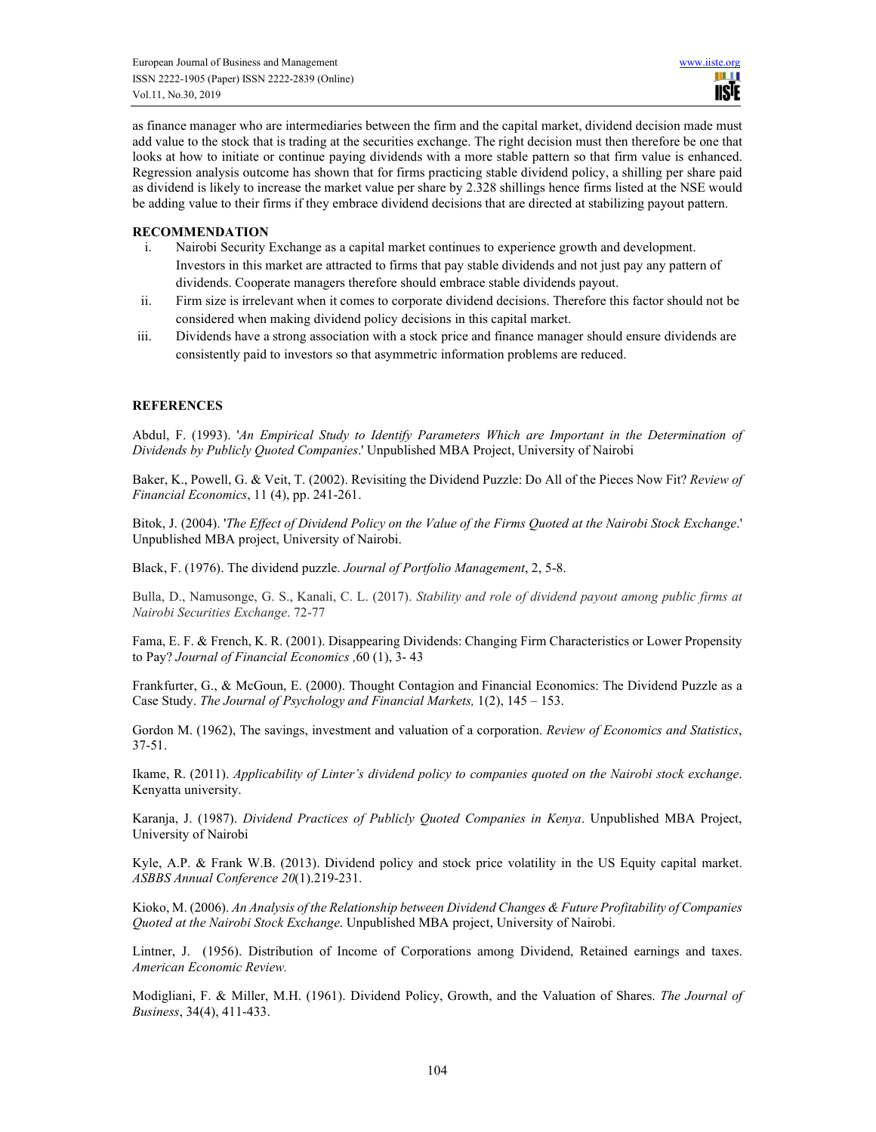as finance manager who are intermediaries between the firm and the capital market, dividend decision made must add value to the stock that is trading at the securities exchange. The right decision must then therefore be one that looks at how to initiate or continue paying dividends with a more stable pattern so that firm value is enhanced. Regression analysis outcome has shown that for firms practicing stable dividend policy, a shilling per share paid as dividend is likely to increase the market value per share by 2.328 shillings hence firms listed at the NSE would be adding value to their firms if they embrace dividend decisions that are directed at stabilizing payout pattern.

# **RECOMMENDATION**

- i. Nairobi Security Exchange as a capital market continues to experience growth and development. Investors in this market are attracted to firms that pay stable dividends and not just pay any pattern of dividends. Cooperate managers therefore should embrace stable dividends payout.
- ii. Firm size is irrelevant when it comes to corporate dividend decisions. Therefore this factor should not be considered when making dividend policy decisions in this capital market.
- iii. Dividends have a strong association with a stock price and finance manager should ensure dividends are consistently paid to investors so that asymmetric information problems are reduced.

# **REFERENCES**

Abdul, F. (1993). '*An Empirical Study to Identify Parameters Which are Important in the Determination of Dividends by Publicly Quoted Companies*.' Unpublished MBA Project, University of Nairobi

Baker, K., Powell, G. & Veit, T. (2002). Revisiting the Dividend Puzzle: Do All of the Pieces Now Fit? *Review of Financial Economics*, 11 (4), pp. 241-261.

Bitok, J. (2004). '*The Effect of Dividend Policy on the Value of the Firms Quoted at the Nairobi Stock Exchange*.' Unpublished MBA project, University of Nairobi.

Black, F. (1976). The dividend puzzle. *Journal of Portfolio Management*, 2, 5-8.

Bulla, D., Namusonge, G. S., Kanali, C. L. (2017). *Stability and role of dividend payout among public firms at Nairobi Securities Exchange*. 72-77

Fama, E. F. & French, K. R. (2001). Disappearing Dividends: Changing Firm Characteristics or Lower Propensity to Pay? *Journal of Financial Economics ,*60 (1), 3- 43

Frankfurter, G., & McGoun, E. (2000). Thought Contagion and Financial Economics: The Dividend Puzzle as a Case Study. *The Journal of Psychology and Financial Markets,* 1(2), 145 – 153.

Gordon M. (1962), The savings, investment and valuation of a corporation. *Review of Economics and Statistics*, 37-51.

Ikame, R. (2011). *Applicability of Linter's dividend policy to companies quoted on the Nairobi stock exchange*. Kenyatta university.

Karanja, J. (1987). *Dividend Practices of Publicly Quoted Companies in Kenya*. Unpublished MBA Project, University of Nairobi

Kyle, A.P. & Frank W.B. (2013). Dividend policy and stock price volatility in the US Equity capital market. *ASBBS Annual Conference 20*(1).219-231.

Kioko, M. (2006). *An Analysis of the Relationship between Dividend Changes & Future Profitability of Companies Quoted at the Nairobi Stock Exchange*. Unpublished MBA project, University of Nairobi.

Lintner, J. (1956). Distribution of Income of Corporations among Dividend, Retained earnings and taxes. *American Economic Review.* 

Modigliani, F. & Miller, M.H. (1961). Dividend Policy, Growth, and the Valuation of Shares. *The Journal of Business*, 34(4), 411-433.